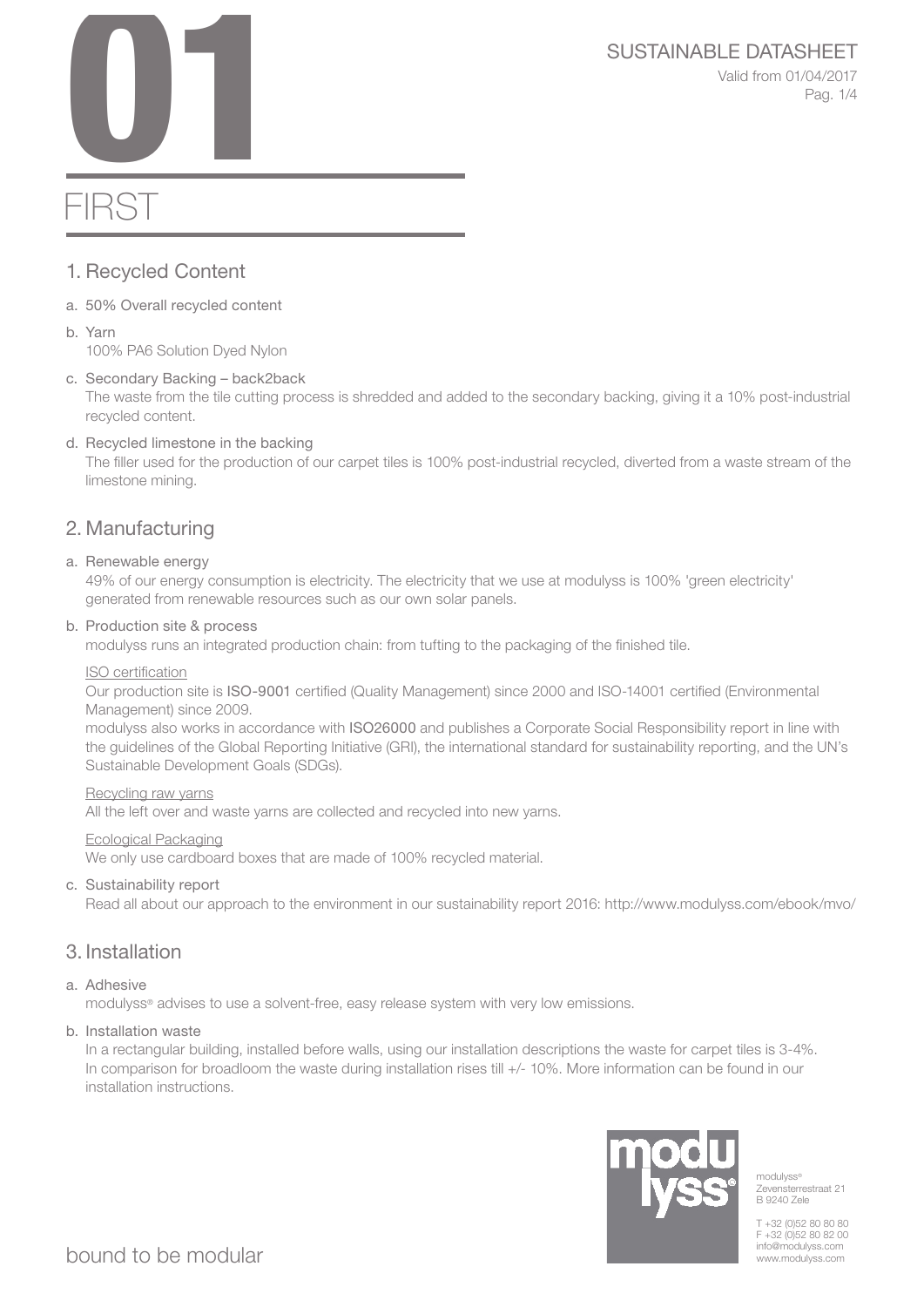SUSTAINABLE DATASHEET<br>Valid from 01/04/2017<br>Pag. 1/4 Valid from 01/04/2017 Pag. 1/4

# FIRS<sup>-</sup>

### 1. Recycled Content

- a. 50% Overall recycled content
- b. Yarn 100% PA6 Solution Dyed Nylon
- c. Secondary Backing back2back

The waste from the tile cutting process is shredded and added to the secondary backing, giving it a 10% post-industrial recycled content.

### d. Recycled limestone in the backing

The filler used for the production of our carpet tiles is 100% post-industrial recycled, diverted from a waste stream of the limestone mining.

## 2. Manufacturing

### a. Renewable energy

49% of our energy consumption is electricity. The electricity that we use at modulyss is 100% 'green electricity' generated from renewable resources such as our own solar panels.

### b. Production site & process

modulyss runs an integrated production chain: from tufting to the packaging of the finished tile.

### ISO certification

Our production site is ISO-9001 certified (Quality Management) since 2000 and ISO-14001 certified (Environmental Management) since 2009.

modulyss also works in accordance with ISO26000 and publishes a Corporate Social Responsibility report in line with the guidelines of the Global Reporting Initiative (GRI), the international standard for sustainability reporting, and the UN's Sustainable Development Goals (SDGs).

### Recycling raw yarns

All the left over and waste yarns are collected and recycled into new yarns.

### Ecological Packaging

We only use cardboard boxes that are made of 100% recycled material.

### c. Sustainability report

Read all about our approach to the environment in our sustainability report 2016: http://www.modulyss.com/ebook/mvo/

### 3. Installation

### a. Adhesive

modulyss® advises to use a solvent-free, easy release system with very low emissions.

### b. Installation waste

In a rectangular building, installed before walls, using our installation descriptions the waste for carpet tiles is 3-4%. In comparison for broadloom the waste during installation rises till +/- 10%. More information can be found in our installation instructions.



modulyss<sup>®</sup> Zevensterrestraat 21 B 9240 Zele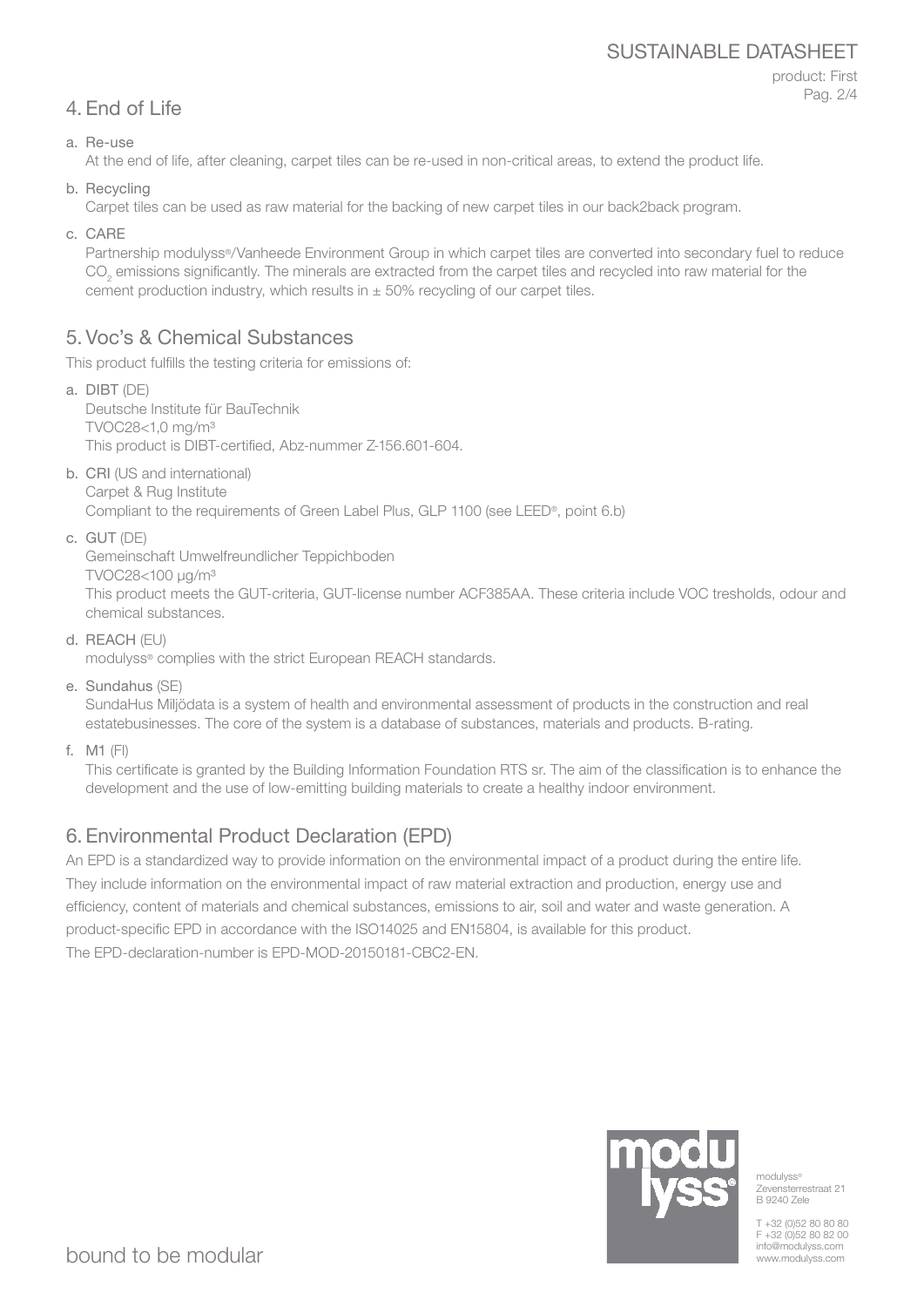### SUSTAINABLE DATASHEET

### 4. End of Life

product: First Pag. 2/4

a. Re-use

At the end of life, after cleaning, carpet tiles can be re-used in non-critical areas, to extend the product life.

b. Recycling

Carpet tiles can be used as raw material for the backing of new carpet tiles in our back2back program.

c. CARE

Partnership modulyss®/Vanheede Environment Group in which carpet tiles are converted into secondary fuel to reduce  $\mathrm{CO}_2$  emissions significantly. The minerals are extracted from the carpet tiles and recycled into raw material for the cement production industry, which results in  $\pm$  50% recycling of our carpet tiles.

### 5. Voc's & Chemical Substances

This product fulfills the testing criteria for emissions of:

- a. DIBT (DE) Deutsche Institute für BauTechnik TVOC28<1,0 mg/m³ This product is DIBT-certified, Abz-nummer Z-156.601-604.
- b. CRI (US and international) Carpet & Rug Institute Compliant to the requirements of Green Label Plus, GLP 1100 (see LEED®, point 6.b)
- c. GUT (DE)

Gemeinschaft Umwelfreundlicher Teppichboden

TVOC28<100 μg/m³

This product meets the GUT-criteria, GUT-license number ACF385AA. These criteria include VOC tresholds, odour and chemical substances.

d. REACH (EU)

modulyss® complies with the strict European REACH standards.

e. Sundahus (SE)

SundaHus Miljödata is a system of health and environmental assessment of products in the construction and real estatebusinesses. The core of the system is a database of substances, materials and products. B-rating.

f. M1 (FI)

This certificate is granted by the Building Information Foundation RTS sr. The aim of the classification is to enhance the development and the use of low-emitting building materials to create a healthy indoor environment.

### 6. Environmental Product Declaration (EPD)

An EPD is a standardized way to provide information on the environmental impact of a product during the entire life. They include information on the environmental impact of raw material extraction and production, energy use and efficiency, content of materials and chemical substances, emissions to air, soil and water and waste generation. A product-specific EPD in accordance with the ISO14025 and EN15804, is available for this product. The EPD-declaration-number is EPD-MOD-20150181-CBC2-EN.



modulyss<sup>®</sup> Zevensterrestraat 21 B 9240 Zele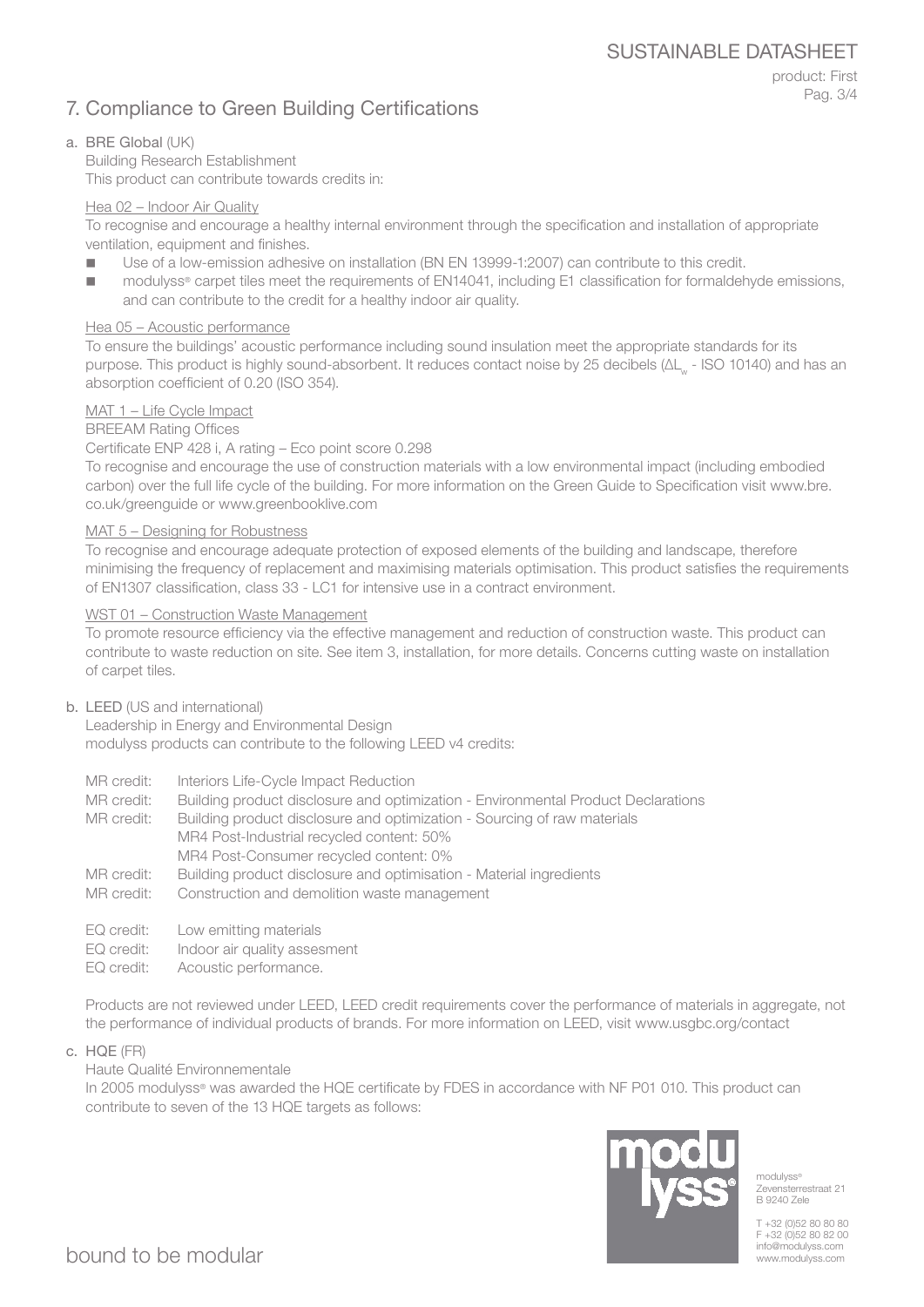### 7. Compliance to Green Building Certifications

product: First Pag. 3/4

### a. BRE Global (UK)

Building Research Establishment This product can contribute towards credits in:

### Hea 02 – Indoor Air Quality

To recognise and encourage a healthy internal environment through the specification and installation of appropriate ventilation, equipment and finishes.

- Use of a low-emission adhesive on installation (BN EN 13999-1:2007) can contribute to this credit.
- modulyss<sup>®</sup> carpet tiles meet the requirements of EN14041, including E1 classification for formaldehyde emissions, and can contribute to the credit for a healthy indoor air quality.

### Hea 05 – Acoustic performance

To ensure the buildings' acoustic performance including sound insulation meet the appropriate standards for its purpose. This product is highly sound-absorbent. It reduces contact noise by 25 decibels (ΔL<sub>w</sub> - ISO 10140) and has an absorption coefficient of 0.20 (ISO 354).

### MAT 1 – Life Cycle Impact

### BREEAM Rating Offices

### Certificate ENP 428 i, A rating – Eco point score 0.298

To recognise and encourage the use of construction materials with a low environmental impact (including embodied carbon) over the full life cycle of the building. For more information on the Green Guide to Specification visit www.bre. co.uk/greenguide or www.greenbooklive.com

### MAT 5 – Designing for Robustness

To recognise and encourage adequate protection of exposed elements of the building and landscape, therefore minimising the frequency of replacement and maximising materials optimisation. This product satisfies the requirements of EN1307 classification, class 33 - LC1 for intensive use in a contract environment.

### WST 01 – Construction Waste Management

To promote resource efficiency via the effective management and reduction of construction waste. This product can contribute to waste reduction on site. See item 3, installation, for more details. Concerns cutting waste on installation of carpet tiles.

### b. LEED (US and international)

Leadership in Energy and Environmental Design modulyss products can contribute to the following LEED v4 credits:

- MR credit: Interiors Life-Cycle Impact Reduction
- MR credit: Building product disclosure and optimization Environmental Product Declarations

MR credit: Building product disclosure and optimization - Sourcing of raw materials MR4 Post-Industrial recycled content: 50% MR4 Post-Consumer recycled content: 0%

- MR credit: Building product disclosure and optimisation Material ingredients
- MR credit: Construction and demolition waste management
- EQ credit: Low emitting materials
- EQ credit: Indoor air quality assesment
- EQ credit: Acoustic performance.

Products are not reviewed under LEED, LEED credit requirements cover the performance of materials in aggregate, not the performance of individual products of brands. For more information on LEED, visit www.usgbc.org/contact

c. HQE (FR)

Haute Qualité Environnementale

In 2005 modulyss® was awarded the HQE certificate by FDES in accordance with NF P01 010. This product can contribute to seven of the 13 HQE targets as follows:



modulyss® Zevensterrestraat 21 B 9240 Zele